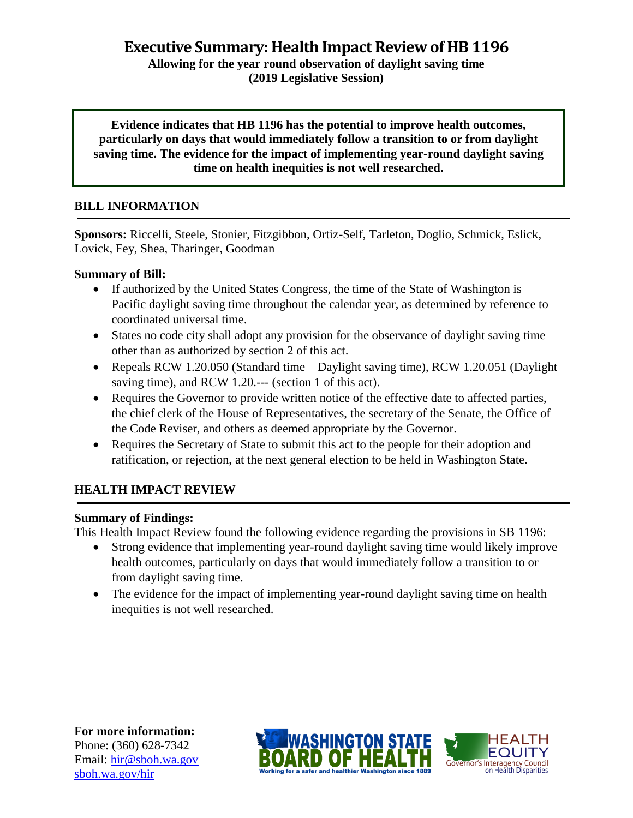**Executive Summary: Health Impact Review of HB 1196**

**Allowing for the year round observation of daylight saving time (2019 Legislative Session)**

**Evidence indicates that HB 1196 has the potential to improve health outcomes, particularly on days that would immediately follow a transition to or from daylight saving time. The evidence for the impact of implementing year-round daylight saving time on health inequities is not well researched.**

# **BILL INFORMATION**

**Sponsors:** Riccelli, Steele, Stonier, Fitzgibbon, Ortiz-Self, Tarleton, Doglio, Schmick, Eslick, Lovick, Fey, Shea, Tharinger, Goodman

#### **Summary of Bill:**

- If authorized by the United States Congress, the time of the State of Washington is Pacific daylight saving time throughout the calendar year, as determined by reference to coordinated universal time.
- States no code city shall adopt any provision for the observance of daylight saving time other than as authorized by section 2 of this act.
- Repeals RCW 1.20.050 (Standard time—Daylight saving time), RCW 1.20.051 (Daylight saving time), and RCW 1.20.--- (section 1 of this act).
- Requires the Governor to provide written notice of the effective date to affected parties, the chief clerk of the House of Representatives, the secretary of the Senate, the Office of the Code Reviser, and others as deemed appropriate by the Governor.
- Requires the Secretary of State to submit this act to the people for their adoption and ratification, or rejection, at the next general election to be held in Washington State.

# **HEALTH IMPACT REVIEW**

#### **Summary of Findings:**

This Health Impact Review found the following evidence regarding the provisions in SB 1196:

- Strong evidence that implementing year-round daylight saving time would likely improve health outcomes, particularly on days that would immediately follow a transition to or from daylight saving time.
- The evidence for the impact of implementing year-round daylight saving time on health inequities is not well researched.

**For more information:** Phone: (360) 628-7342 Email: [hir@sboh.wa.gov](mailto:hir@sboh.wa.gov) [sboh.wa.gov/](http://sboh.wa.gov/)hir



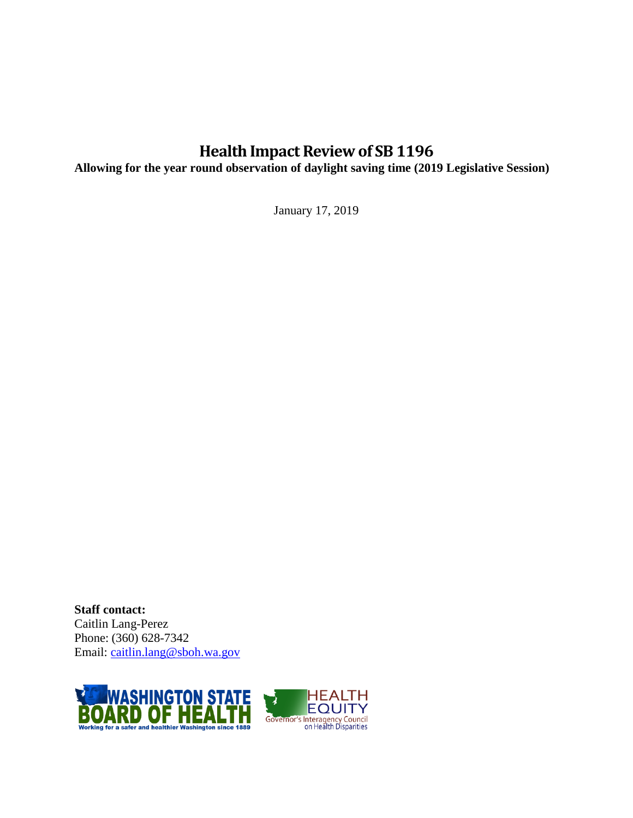# **Health Impact Review of SB 1196**

**Allowing for the year round observation of daylight saving time (2019 Legislative Session)**

January 17, 2019

**Staff contact:** Caitlin Lang-Perez Phone: (360) 628-7342 Email: [caitlin.lang@sboh.wa.gov](mailto:caitlin.lang@sboh.wa.gov)

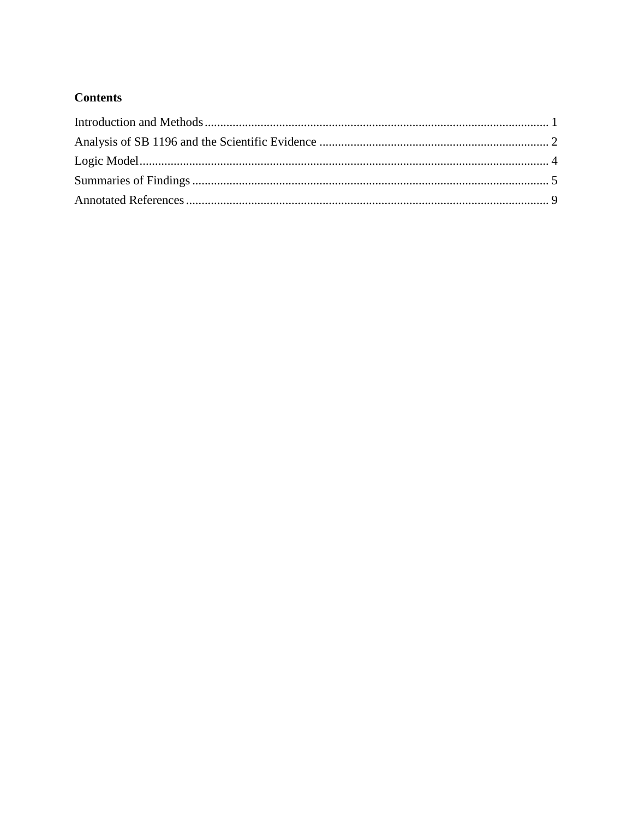# **Contents**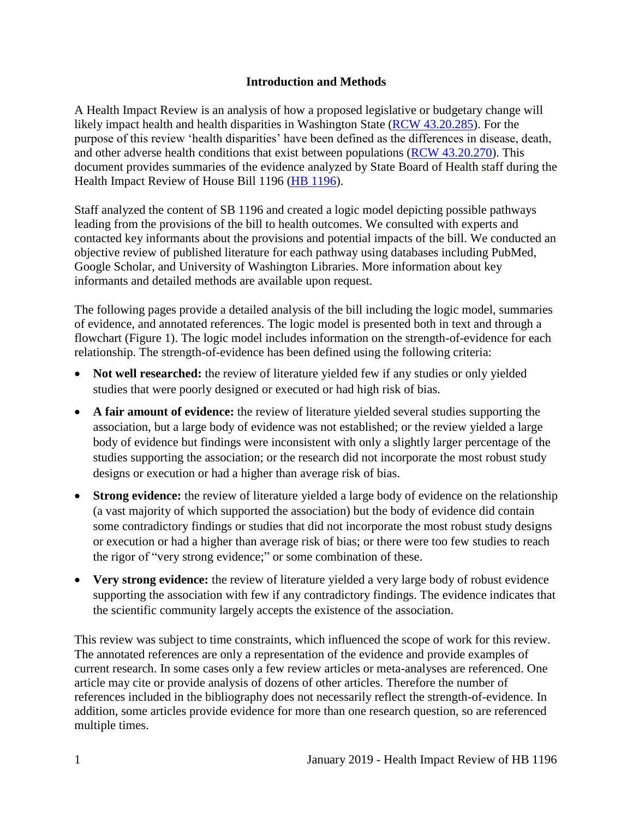#### **Introduction and Methods**

<span id="page-3-0"></span>A Health Impact Review is an analysis of how a proposed legislative or budgetary change will likely impact health and health disparities in Washington State [\(RCW 43.20.285\)](http://apps.leg.wa.gov/rcw/default.aspx?cite=43.20.285). For the purpose of this review 'health disparities' have been defined as the differences in disease, death, and other adverse health conditions that exist between populations [\(RCW 43.20.270\)](http://apps.leg.wa.gov/rcw/default.aspx?cite=43.20.270). This document provides summaries of the evidence analyzed by State Board of Health staff during the Health Impact Review of House Bill 1196 (HB [1196\)](https://app.leg.wa.gov/billsummary?BillNumber=1196&Initiative=false&Year=2019).

Staff analyzed the content of SB 1196 and created a logic model depicting possible pathways leading from the provisions of the bill to health outcomes. We consulted with experts and contacted key informants about the provisions and potential impacts of the bill. We conducted an objective review of published literature for each pathway using databases including PubMed, Google Scholar, and University of Washington Libraries. More information about key informants and detailed methods are available upon request.

The following pages provide a detailed analysis of the bill including the logic model, summaries of evidence, and annotated references. The logic model is presented both in text and through a flowchart (Figure 1). The logic model includes information on the strength-of-evidence for each relationship. The strength-of-evidence has been defined using the following criteria:

- Not well researched: the review of literature yielded few if any studies or only yielded studies that were poorly designed or executed or had high risk of bias.
- **A fair amount of evidence:** the review of literature yielded several studies supporting the association, but a large body of evidence was not established; or the review yielded a large body of evidence but findings were inconsistent with only a slightly larger percentage of the studies supporting the association; or the research did not incorporate the most robust study designs or execution or had a higher than average risk of bias.
- **Strong evidence:** the review of literature yielded a large body of evidence on the relationship (a vast majority of which supported the association) but the body of evidence did contain some contradictory findings or studies that did not incorporate the most robust study designs or execution or had a higher than average risk of bias; or there were too few studies to reach the rigor of "very strong evidence;" or some combination of these.
- **Very strong evidence:** the review of literature yielded a very large body of robust evidence supporting the association with few if any contradictory findings. The evidence indicates that the scientific community largely accepts the existence of the association.

This review was subject to time constraints, which influenced the scope of work for this review. The annotated references are only a representation of the evidence and provide examples of current research. In some cases only a few review articles or meta-analyses are referenced. One article may cite or provide analysis of dozens of other articles. Therefore the number of references included in the bibliography does not necessarily reflect the strength-of-evidence. In addition, some articles provide evidence for more than one research question, so are referenced multiple times.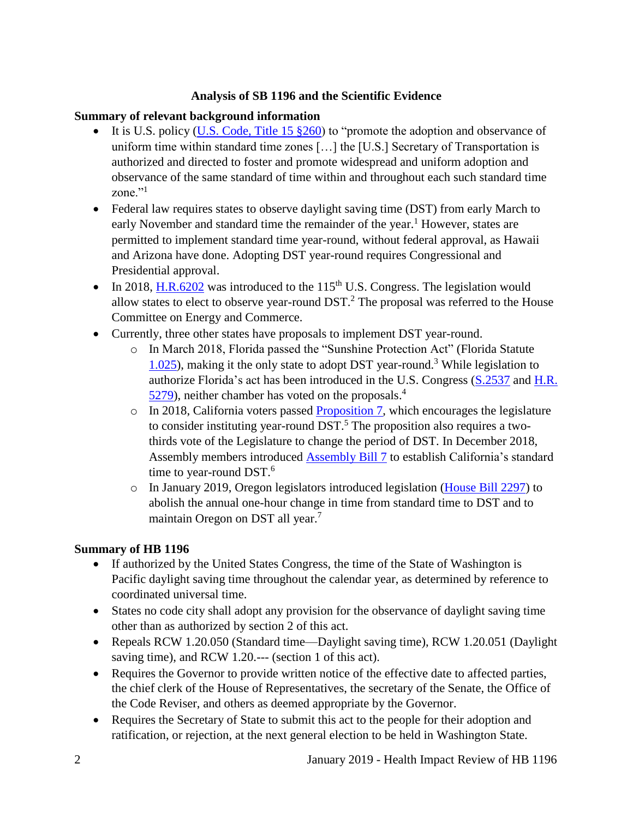#### **Analysis of SB 1196 and the Scientific Evidence**

# <span id="page-4-0"></span>**Summary of relevant background information**

- It is U.S. policy (U.S. Code, [Title 15 §260\)](https://www.govinfo.gov/content/pkg/USCODE-2011-title15/html/USCODE-2011-title15-chap6-subchapIX.htm) to "promote the adoption and observance of uniform time within standard time zones […] the [U.S.] Secretary of Transportation is authorized and directed to foster and promote widespread and uniform adoption and observance of the same standard of time within and throughout each such standard time zone."<sup>1</sup>
- Federal law requires states to observe daylight saving time (DST) from early March to early November and standard time the remainder of the year.<sup>1</sup> However, states are permitted to implement standard time year-round, without federal approval, as Hawaii and Arizona have done. Adopting DST year-round requires Congressional and Presidential approval.
- In 2018, [H.R.6202](https://www.congress.gov/bill/115th-congress/house-bill/6202/text) was introduced to the 115<sup>th</sup> U.S. Congress. The legislation would allow states to elect to observe year-round  $DST<sup>2</sup>$ . The proposal was referred to the House Committee on Energy and Commerce.
- Currently, three other states have proposals to implement DST year-round.
	- o In March 2018, Florida passed the "Sunshine Protection Act" (Florida Statute [1.025\)](http://www.leg.state.fl.us/statutes/index.cfm?mode=View%20Statutes&SubMenu=1&App_mode=Display_Statute&Search_String=1.025&URL=0000-0099/0001/Sections/0001.025.html), making it the only state to adopt DST year-round.<sup>3</sup> While legislation to authorize Florida's act has been introduced in the U.S. Congress [\(S.2537](https://www.congress.gov/bill/115th-congress/senate-bill/2537/text) and [H.R.](https://www.congress.gov/bill/115th-congress/house-bill/5279)  [5279\)](https://www.congress.gov/bill/115th-congress/house-bill/5279), neither chamber has voted on the proposals.<sup>4</sup>
	- $\circ$  In 2018, California voters passed [Proposition 7,](http://www.voterguide.sos.ca.gov/propositions/7/) which encourages the legislature to consider instituting year-round  $DST$ .<sup>5</sup> The proposition also requires a twothirds vote of the Legislature to change the period of DST. In December 2018, Assembly members introduced [Assembly Bill](http://leginfo.legislature.ca.gov/faces/billTextClient.xhtml?bill_id=201920200AB7&search_keywords=daylight+saving+time) 7 to establish California's standard time to year-round DST.<sup>6</sup>
	- o In January 2019, Oregon legislators introduced legislation [\(House Bill 2297\)](https://olis.leg.state.or.us/liz/2019R1/Measures/Overview/HB2297) to abolish the annual one-hour change in time from standard time to DST and to maintain Oregon on DST all year. 7

#### **Summary of HB 1196**

- If authorized by the United States Congress, the time of the State of Washington is Pacific daylight saving time throughout the calendar year, as determined by reference to coordinated universal time.
- States no code city shall adopt any provision for the observance of daylight saving time other than as authorized by section 2 of this act.
- Repeals RCW 1.20.050 (Standard time—Daylight saving time), RCW 1.20.051 (Daylight saving time), and RCW 1.20.--- (section 1 of this act).
- Requires the Governor to provide written notice of the effective date to affected parties, the chief clerk of the House of Representatives, the secretary of the Senate, the Office of the Code Reviser, and others as deemed appropriate by the Governor.
- Requires the Secretary of State to submit this act to the people for their adoption and ratification, or rejection, at the next general election to be held in Washington State.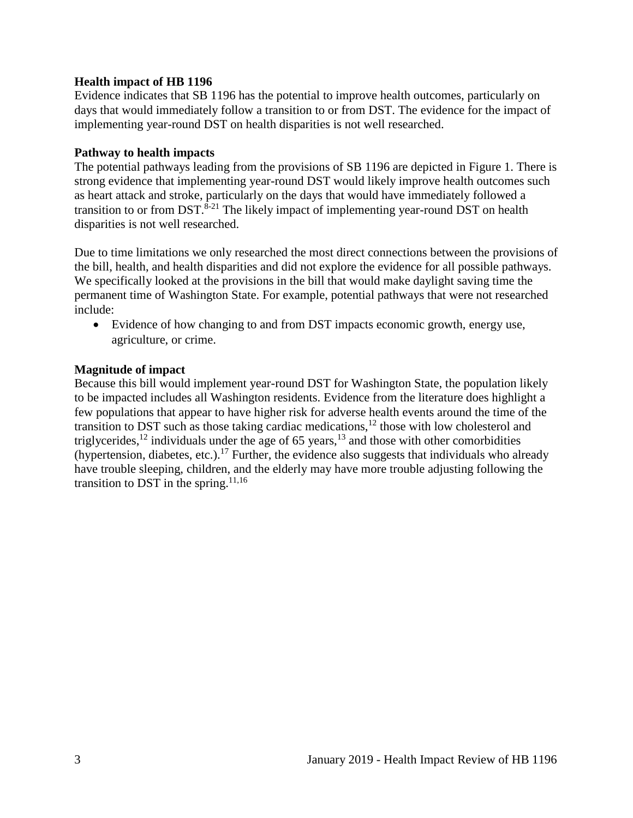#### **Health impact of HB 1196**

Evidence indicates that SB 1196 has the potential to improve health outcomes, particularly on days that would immediately follow a transition to or from DST. The evidence for the impact of implementing year-round DST on health disparities is not well researched.

#### **Pathway to health impacts**

The potential pathways leading from the provisions of SB 1196 are depicted in Figure 1. There is strong evidence that implementing year-round DST would likely improve health outcomes such as heart attack and stroke, particularly on the days that would have immediately followed a transition to or from DST.<sup>8-21</sup> The likely impact of implementing year-round DST on health disparities is not well researched.

Due to time limitations we only researched the most direct connections between the provisions of the bill, health, and health disparities and did not explore the evidence for all possible pathways. We specifically looked at the provisions in the bill that would make daylight saving time the permanent time of Washington State. For example, potential pathways that were not researched include:

 Evidence of how changing to and from DST impacts economic growth, energy use, agriculture, or crime.

#### **Magnitude of impact**

Because this bill would implement year-round DST for Washington State, the population likely to be impacted includes all Washington residents. Evidence from the literature does highlight a few populations that appear to have higher risk for adverse health events around the time of the transition to DST such as those taking cardiac medications,<sup>12</sup> those with low cholesterol and triglycerides,<sup>12</sup> individuals under the age of 65 years,<sup>13</sup> and those with other comorbidities (hypertension, diabetes, etc.).<sup>17</sup> Further, the evidence also suggests that individuals who already have trouble sleeping, children, and the elderly may have more trouble adjusting following the transition to DST in the spring.<sup>[11,](#page-13-0)[16](#page-15-0)</sup>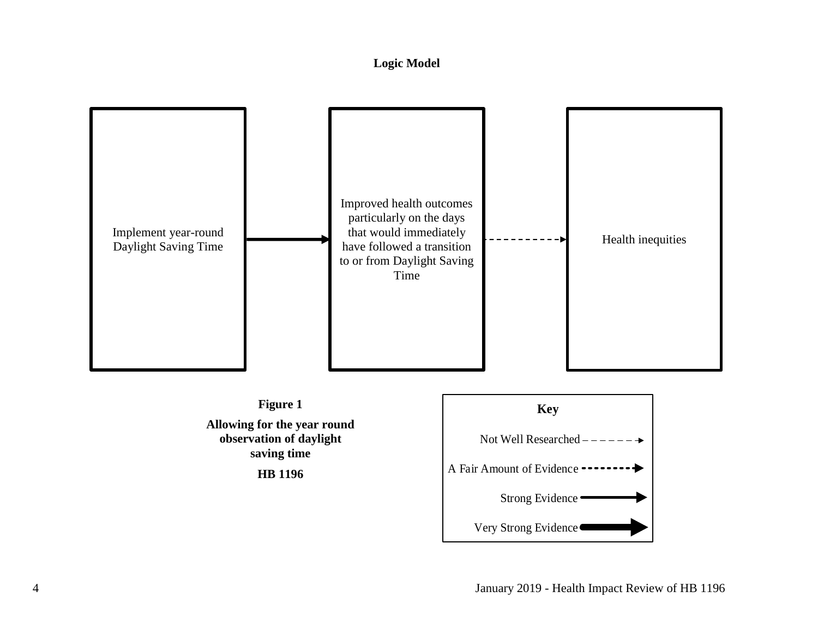# **Logic Model**

<span id="page-6-0"></span>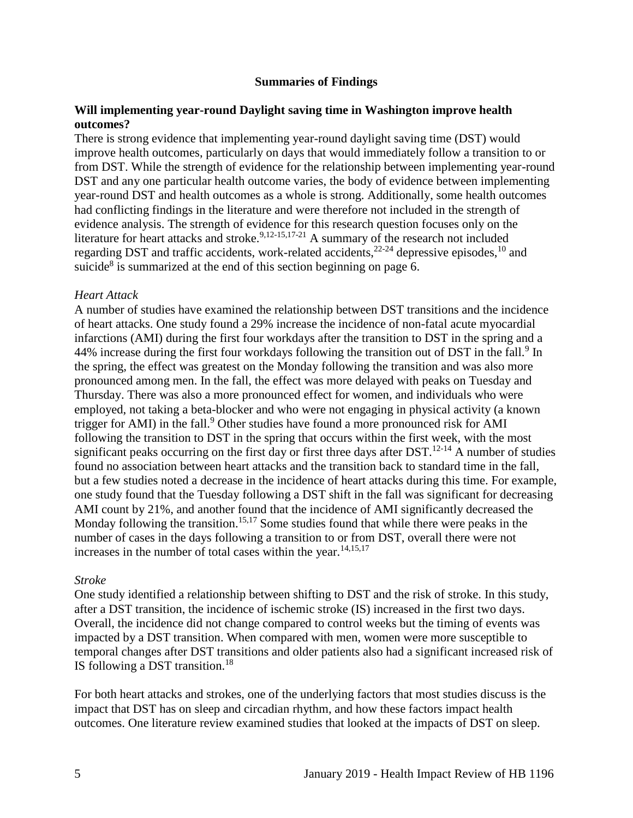#### **Summaries of Findings**

#### <span id="page-7-0"></span>**Will implementing year-round Daylight saving time in Washington improve health outcomes?**

There is strong evidence that implementing year-round daylight saving time (DST) would improve health outcomes, particularly on days that would immediately follow a transition to or from DST. While the strength of evidence for the relationship between implementing year-round DST and any one particular health outcome varies, the body of evidence between implementing year-round DST and health outcomes as a whole is strong. Additionally, some health outcomes had conflicting findings in the literature and were therefore not included in the strength of evidence analysis. The strength of evidence for this research question focuses only on the literature for heart attacks and stroke.<sup>[9,](#page-12-0)[12-15](#page-13-1)[,17-21](#page-15-1)</sup> A summary of the research not included regarding DST and traffic accidents, work-related accidents,<sup>22-24</sup> depressive episodes,<sup>10</sup> and suicide<sup>8</sup> is summarized at the end of this section beginning on page 6.

#### *Heart Attack*

A number of studies have examined the relationship between DST transitions and the incidence of heart attacks. One study found a 29% increase the incidence of non-fatal acute myocardial infarctions (AMI) during the first four workdays after the transition to DST in the spring and a 44% increase during the first four workdays following the transition out of DST in the fall.<sup>9</sup> In the spring, the effect was greatest on the Monday following the transition and was also more pronounced among men. In the fall, the effect was more delayed with peaks on Tuesday and Thursday. There was also a more pronounced effect for women, and individuals who were employed, not taking a beta-blocker and who were not engaging in physical activity (a known trigger for AMI) in the fall.<sup>9</sup> Other studies have found a more pronounced risk for AMI following the transition to DST in the spring that occurs within the first week, with the most significant peaks occurring on the first day or first three days after  $DST$ .<sup>12-14</sup> A number of studies found no association between heart attacks and the transition back to standard time in the fall, but a few studies noted a decrease in the incidence of heart attacks during this time. For example, one study found that the Tuesday following a DST shift in the fall was significant for decreasing AMI count by 21%, and another found that the incidence of AMI significantly decreased the Monday following the transition.<sup>[15,](#page-14-0)[17](#page-15-1)</sup> Some studies found that while there were peaks in the number of cases in the days following a transition to or from DST, overall there were not increases in the number of total cases within the year. $14,15,17$  $14,15,17$  $14,15,17$ 

#### *Stroke*

One study identified a relationship between shifting to DST and the risk of stroke. In this study, after a DST transition, the incidence of ischemic stroke (IS) increased in the first two days. Overall, the incidence did not change compared to control weeks but the timing of events was impacted by a DST transition. When compared with men, women were more susceptible to temporal changes after DST transitions and older patients also had a significant increased risk of IS following a DST transition.<sup>18</sup>

For both heart attacks and strokes, one of the underlying factors that most studies discuss is the impact that DST has on sleep and circadian rhythm, and how these factors impact health outcomes. One literature review examined studies that looked at the impacts of DST on sleep.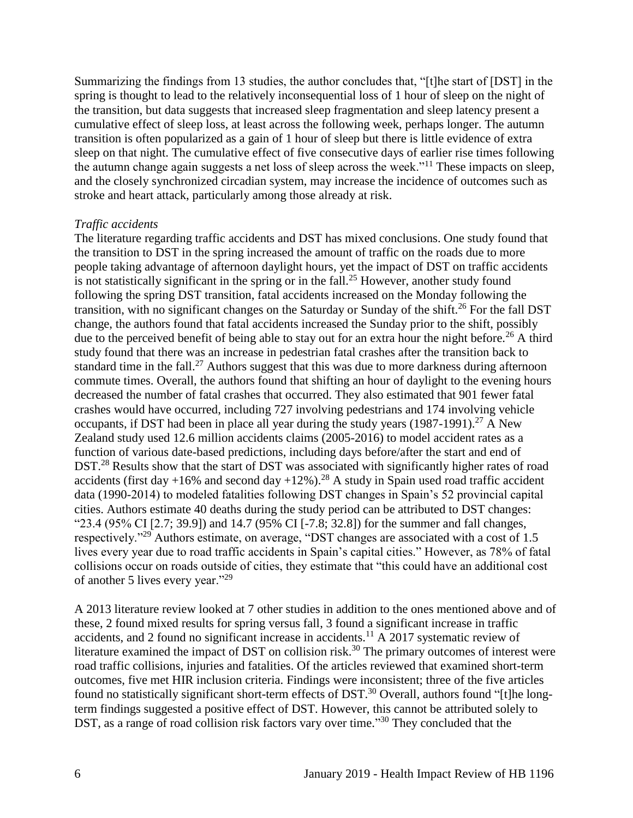Summarizing the findings from 13 studies, the author concludes that, "[t]he start of [DST] in the spring is thought to lead to the relatively inconsequential loss of 1 hour of sleep on the night of the transition, but data suggests that increased sleep fragmentation and sleep latency present a cumulative effect of sleep loss, at least across the following week, perhaps longer. The autumn transition is often popularized as a gain of 1 hour of sleep but there is little evidence of extra sleep on that night. The cumulative effect of five consecutive days of earlier rise times following the autumn change again suggests a net loss of sleep across the week."<sup>11</sup> These impacts on sleep, and the closely synchronized circadian system, may increase the incidence of outcomes such as stroke and heart attack, particularly among those already at risk.

#### *Traffic accidents*

The literature regarding traffic accidents and DST has mixed conclusions. One study found that the transition to DST in the spring increased the amount of traffic on the roads due to more people taking advantage of afternoon daylight hours, yet the impact of DST on traffic accidents is not statistically significant in the spring or in the fall.<sup>25</sup> However, another study found following the spring DST transition, fatal accidents increased on the Monday following the transition, with no significant changes on the Saturday or Sunday of the shift.<sup>26</sup> For the fall DST change, the authors found that fatal accidents increased the Sunday prior to the shift, possibly due to the perceived benefit of being able to stay out for an extra hour the night before.<sup>26</sup> A third study found that there was an increase in pedestrian fatal crashes after the transition back to standard time in the fall.<sup>27</sup> Authors suggest that this was due to more darkness during afternoon commute times. Overall, the authors found that shifting an hour of daylight to the evening hours decreased the number of fatal crashes that occurred. They also estimated that 901 fewer fatal crashes would have occurred, including 727 involving pedestrians and 174 involving vehicle occupants, if DST had been in place all year during the study years  $(1987-1991)$ <sup>27</sup> A New Zealand study used 12.6 million accidents claims (2005-2016) to model accident rates as a function of various date-based predictions, including days before/after the start and end of DST.<sup>28</sup> Results show that the start of DST was associated with significantly higher rates of road accidents (first day +16% and second day +12%).<sup>28</sup> A study in Spain used road traffic accident data (1990-2014) to modeled fatalities following DST changes in Spain's 52 provincial capital cities. Authors estimate 40 deaths during the study period can be attributed to DST changes: "23.4 (95% CI [2.7; 39.9]) and 14.7 (95% CI [-7.8; 32.8]) for the summer and fall changes, respectively."<sup>29</sup> Authors estimate, on average, "DST changes are associated with a cost of 1.5 lives every year due to road traffic accidents in Spain's capital cities." However, as 78% of fatal collisions occur on roads outside of cities, they estimate that "this could have an additional cost of another 5 lives every year."<sup>29</sup>

A 2013 literature review looked at 7 other studies in addition to the ones mentioned above and of these, 2 found mixed results for spring versus fall, 3 found a significant increase in traffic accidents, and 2 found no significant increase in accidents.<sup>11</sup> A 2017 systematic review of literature examined the impact of DST on collision risk.<sup>30</sup> The primary outcomes of interest were road traffic collisions, injuries and fatalities. Of the articles reviewed that examined short-term outcomes, five met HIR inclusion criteria. Findings were inconsistent; three of the five articles found no statistically significant short-term effects of DST.<sup>30</sup> Overall, authors found "[t]he longterm findings suggested a positive effect of DST. However, this cannot be attributed solely to DST, as a range of road collision risk factors vary over time."<sup>30</sup> They concluded that the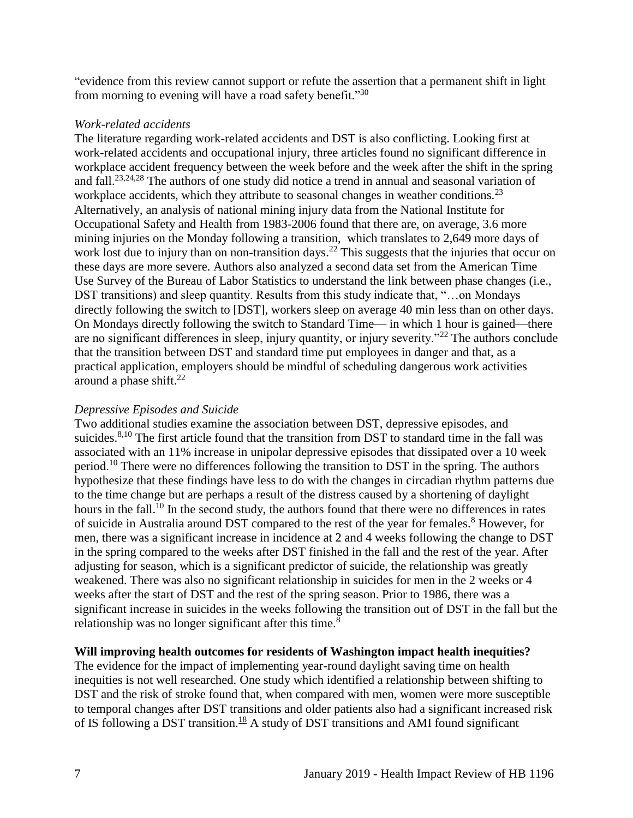"evidence from this review cannot support or refute the assertion that a permanent shift in light from morning to evening will have a road safety benefit."<sup>30</sup>

#### *Work-related accidents*

The literature regarding work-related accidents and DST is also conflicting. Looking first at work-related accidents and occupational injury, three articles found no significant difference in workplace accident frequency between the week before and the week after the shift in the spring and fall.[23,](#page-17-0)[24,](#page-17-1)[28](#page-18-0) The authors of one study did notice a trend in annual and seasonal variation of workplace accidents, which they attribute to seasonal changes in weather conditions.<sup>23</sup> Alternatively, an analysis of national mining injury data from the National Institute for Occupational Safety and Health from 1983-2006 found that there are, on average, 3.6 more mining injuries on the Monday following a transition, which translates to 2,649 more days of work lost due to injury than on non-transition days.<sup>22</sup> This suggests that the injuries that occur on these days are more severe. Authors also analyzed a second data set from the American Time Use Survey of the Bureau of Labor Statistics to understand the link between phase changes (i.e., DST transitions) and sleep quantity. Results from this study indicate that, "…on Mondays directly following the switch to [DST], workers sleep on average 40 min less than on other days. On Mondays directly following the switch to Standard Time— in which 1 hour is gained—there are no significant differences in sleep, injury quantity, or injury severity."<sup>22</sup> The authors conclude that the transition between DST and standard time put employees in danger and that, as a practical application, employers should be mindful of scheduling dangerous work activities around a phase shift. $^{22}$ 

#### *Depressive Episodes and Suicide*

Two additional studies examine the association between DST, depressive episodes, and suicides.<sup>[8,](#page-12-1)[10](#page-12-2)</sup> The first article found that the transition from DST to standard time in the fall was associated with an 11% increase in unipolar depressive episodes that dissipated over a 10 week period.<sup>10</sup> There were no differences following the transition to DST in the spring. The authors hypothesize that these findings have less to do with the changes in circadian rhythm patterns due to the time change but are perhaps a result of the distress caused by a shortening of daylight hours in the fall.<sup>10</sup> In the second study, the authors found that there were no differences in rates of suicide in Australia around DST compared to the rest of the year for females.<sup>8</sup> However, for men, there was a significant increase in incidence at 2 and 4 weeks following the change to DST in the spring compared to the weeks after DST finished in the fall and the rest of the year. After adjusting for season, which is a significant predictor of suicide, the relationship was greatly weakened. There was also no significant relationship in suicides for men in the 2 weeks or 4 weeks after the start of DST and the rest of the spring season. Prior to 1986, there was a significant increase in suicides in the weeks following the transition out of DST in the fall but the relationship was no longer significant after this time.<sup>8</sup>

#### **Will improving health outcomes for residents of Washington impact health inequities?**

The evidence for the impact of implementing year-round daylight saving time on health inequities is not well researched. One study which identified a relationship between shifting to DST and the risk of stroke found that, when compared with men, women were more susceptible to temporal changes after DST transitions and older patients also had a significant increased risk of IS following a DST transition.<sup>18</sup> A study of DST transitions and AMI found significant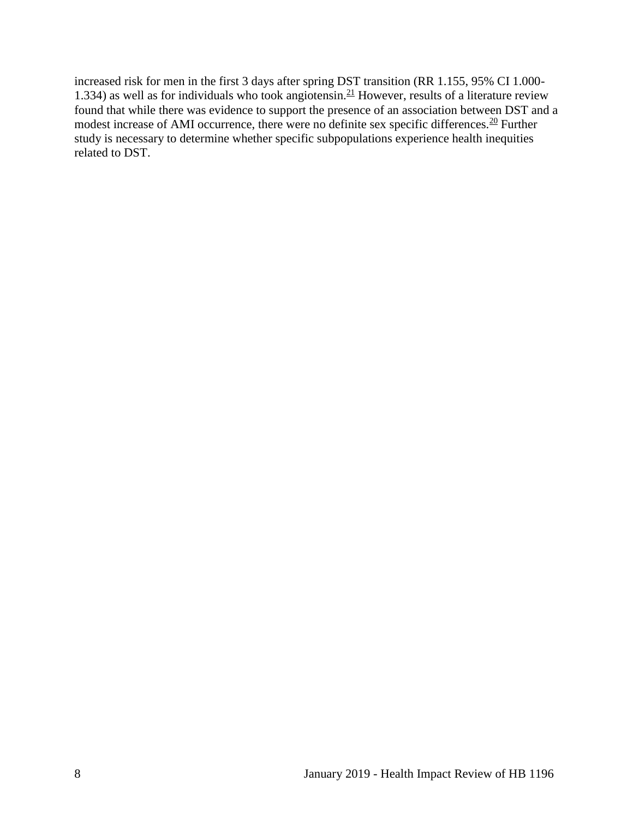increased risk for men in the first 3 days after spring DST transition (RR 1.155, 95% CI 1.000- 1.334) as well as for individuals who took angiotensin.<sup>21</sup> However, results of a literature review found that while there was evidence to support the presence of an association between DST and a modest increase of AMI occurrence, there were no definite sex specific differences.<sup>20</sup> Further study is necessary to determine whether specific subpopulations experience health inequities related to DST.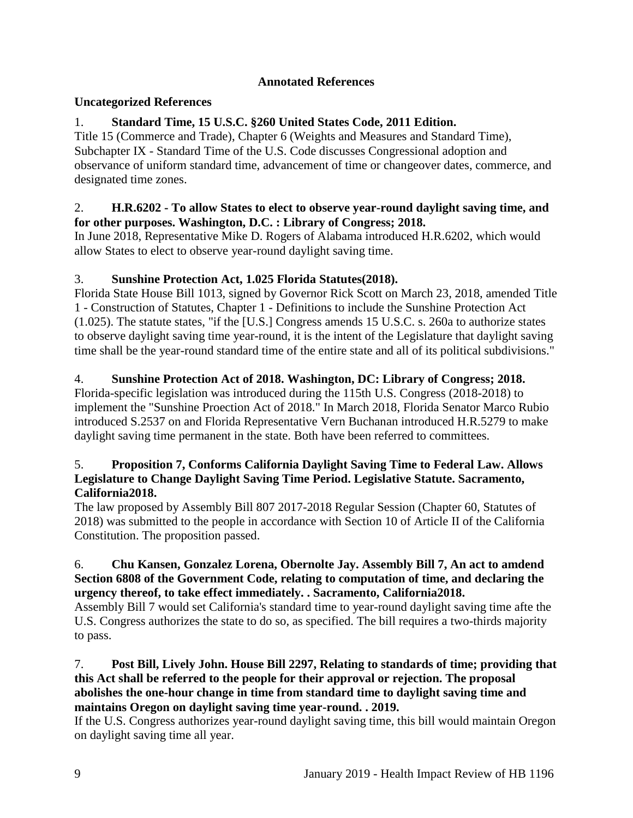# **Annotated References**

# <span id="page-11-0"></span>**Uncategorized References**

# 1. **Standard Time, 15 U.S.C. §260 United States Code, 2011 Edition.**

Title 15 (Commerce and Trade), Chapter 6 (Weights and Measures and Standard Time), Subchapter IX - Standard Time of the U.S. Code discusses Congressional adoption and observance of uniform standard time, advancement of time or changeover dates, commerce, and designated time zones.

# 2. **H.R.6202 - To allow States to elect to observe year-round daylight saving time, and for other purposes. Washington, D.C. : Library of Congress; 2018.**

In June 2018, Representative Mike D. Rogers of Alabama introduced H.R.6202, which would allow States to elect to observe year-round daylight saving time.

# 3. **Sunshine Protection Act, 1.025 Florida Statutes(2018).**

Florida State House Bill 1013, signed by Governor Rick Scott on March 23, 2018, amended Title 1 - Construction of Statutes, Chapter 1 - Definitions to include the Sunshine Protection Act (1.025). The statute states, "if the [U.S.] Congress amends 15 U.S.C. s. 260a to authorize states to observe daylight saving time year-round, it is the intent of the Legislature that daylight saving time shall be the year-round standard time of the entire state and all of its political subdivisions."

# 4. **Sunshine Protection Act of 2018. Washington, DC: Library of Congress; 2018.**

Florida-specific legislation was introduced during the 115th U.S. Congress (2018-2018) to implement the "Sunshine Proection Act of 2018." In March 2018, Florida Senator Marco Rubio introduced S.2537 on and Florida Representative Vern Buchanan introduced H.R.5279 to make daylight saving time permanent in the state. Both have been referred to committees.

#### 5. **Proposition 7, Conforms California Daylight Saving Time to Federal Law. Allows Legislature to Change Daylight Saving Time Period. Legislative Statute. Sacramento, California2018.**

The law proposed by Assembly Bill 807 2017-2018 Regular Session (Chapter 60, Statutes of 2018) was submitted to the people in accordance with Section 10 of Article II of the California Constitution. The proposition passed.

#### 6. **Chu Kansen, Gonzalez Lorena, Obernolte Jay. Assembly Bill 7, An act to amdend Section 6808 of the Government Code, relating to computation of time, and declaring the urgency thereof, to take effect immediately. . Sacramento, California2018.**

Assembly Bill 7 would set California's standard time to year-round daylight saving time afte the U.S. Congress authorizes the state to do so, as specified. The bill requires a two-thirds majority to pass.

# 7. **Post Bill, Lively John. House Bill 2297, Relating to standards of time; providing that this Act shall be referred to the people for their approval or rejection. The proposal abolishes the one-hour change in time from standard time to daylight saving time and maintains Oregon on daylight saving time year-round. . 2019.**

If the U.S. Congress authorizes year-round daylight saving time, this bill would maintain Oregon on daylight saving time all year.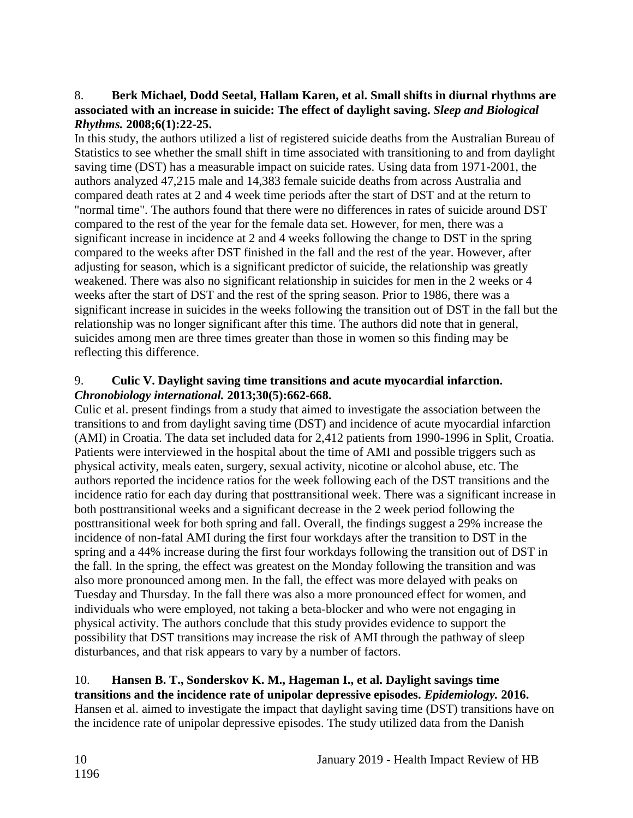# <span id="page-12-1"></span>8. **Berk Michael, Dodd Seetal, Hallam Karen, et al. Small shifts in diurnal rhythms are associated with an increase in suicide: The effect of daylight saving.** *Sleep and Biological Rhythms.* **2008;6(1):22-25.**

In this study, the authors utilized a list of registered suicide deaths from the Australian Bureau of Statistics to see whether the small shift in time associated with transitioning to and from daylight saving time (DST) has a measurable impact on suicide rates. Using data from 1971-2001, the authors analyzed 47,215 male and 14,383 female suicide deaths from across Australia and compared death rates at 2 and 4 week time periods after the start of DST and at the return to "normal time". The authors found that there were no differences in rates of suicide around DST compared to the rest of the year for the female data set. However, for men, there was a significant increase in incidence at 2 and 4 weeks following the change to DST in the spring compared to the weeks after DST finished in the fall and the rest of the year. However, after adjusting for season, which is a significant predictor of suicide, the relationship was greatly weakened. There was also no significant relationship in suicides for men in the 2 weeks or 4 weeks after the start of DST and the rest of the spring season. Prior to 1986, there was a significant increase in suicides in the weeks following the transition out of DST in the fall but the relationship was no longer significant after this time. The authors did note that in general, suicides among men are three times greater than those in women so this finding may be reflecting this difference.

# <span id="page-12-0"></span>9. **Culic V. Daylight saving time transitions and acute myocardial infarction.**  *Chronobiology international.* **2013;30(5):662-668.**

Culic et al. present findings from a study that aimed to investigate the association between the transitions to and from daylight saving time (DST) and incidence of acute myocardial infarction (AMI) in Croatia. The data set included data for 2,412 patients from 1990-1996 in Split, Croatia. Patients were interviewed in the hospital about the time of AMI and possible triggers such as physical activity, meals eaten, surgery, sexual activity, nicotine or alcohol abuse, etc. The authors reported the incidence ratios for the week following each of the DST transitions and the incidence ratio for each day during that posttransitional week. There was a significant increase in both posttransitional weeks and a significant decrease in the 2 week period following the posttransitional week for both spring and fall. Overall, the findings suggest a 29% increase the incidence of non-fatal AMI during the first four workdays after the transition to DST in the spring and a 44% increase during the first four workdays following the transition out of DST in the fall. In the spring, the effect was greatest on the Monday following the transition and was also more pronounced among men. In the fall, the effect was more delayed with peaks on Tuesday and Thursday. In the fall there was also a more pronounced effect for women, and individuals who were employed, not taking a beta-blocker and who were not engaging in physical activity. The authors conclude that this study provides evidence to support the possibility that DST transitions may increase the risk of AMI through the pathway of sleep disturbances, and that risk appears to vary by a number of factors.

# <span id="page-12-2"></span>10. **Hansen B. T., Sonderskov K. M., Hageman I., et al. Daylight savings time transitions and the incidence rate of unipolar depressive episodes.** *Epidemiology.* **2016.** Hansen et al. aimed to investigate the impact that daylight saving time (DST) transitions have on the incidence rate of unipolar depressive episodes. The study utilized data from the Danish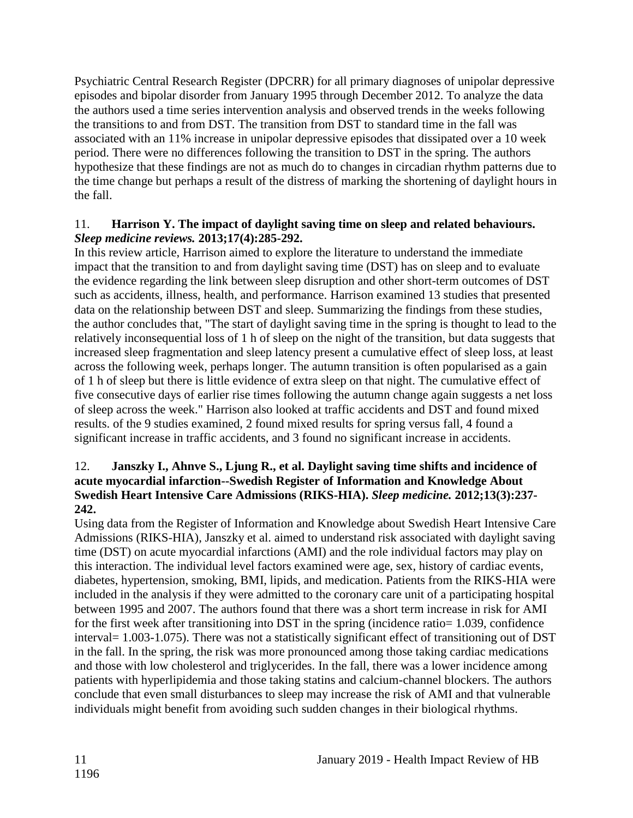Psychiatric Central Research Register (DPCRR) for all primary diagnoses of unipolar depressive episodes and bipolar disorder from January 1995 through December 2012. To analyze the data the authors used a time series intervention analysis and observed trends in the weeks following the transitions to and from DST. The transition from DST to standard time in the fall was associated with an 11% increase in unipolar depressive episodes that dissipated over a 10 week period. There were no differences following the transition to DST in the spring. The authors hypothesize that these findings are not as much do to changes in circadian rhythm patterns due to the time change but perhaps a result of the distress of marking the shortening of daylight hours in the fall.

# <span id="page-13-0"></span>11. **Harrison Y. The impact of daylight saving time on sleep and related behaviours.**  *Sleep medicine reviews.* **2013;17(4):285-292.**

In this review article, Harrison aimed to explore the literature to understand the immediate impact that the transition to and from daylight saving time (DST) has on sleep and to evaluate the evidence regarding the link between sleep disruption and other short-term outcomes of DST such as accidents, illness, health, and performance. Harrison examined 13 studies that presented data on the relationship between DST and sleep. Summarizing the findings from these studies, the author concludes that, "The start of daylight saving time in the spring is thought to lead to the relatively inconsequential loss of 1 h of sleep on the night of the transition, but data suggests that increased sleep fragmentation and sleep latency present a cumulative effect of sleep loss, at least across the following week, perhaps longer. The autumn transition is often popularised as a gain of 1 h of sleep but there is little evidence of extra sleep on that night. The cumulative effect of five consecutive days of earlier rise times following the autumn change again suggests a net loss of sleep across the week." Harrison also looked at traffic accidents and DST and found mixed results. of the 9 studies examined, 2 found mixed results for spring versus fall, 4 found a significant increase in traffic accidents, and 3 found no significant increase in accidents.

# <span id="page-13-1"></span>12. **Janszky I., Ahnve S., Ljung R., et al. Daylight saving time shifts and incidence of acute myocardial infarction--Swedish Register of Information and Knowledge About Swedish Heart Intensive Care Admissions (RIKS-HIA).** *Sleep medicine.* **2012;13(3):237- 242.**

Using data from the Register of Information and Knowledge about Swedish Heart Intensive Care Admissions (RIKS-HIA), Janszky et al. aimed to understand risk associated with daylight saving time (DST) on acute myocardial infarctions (AMI) and the role individual factors may play on this interaction. The individual level factors examined were age, sex, history of cardiac events, diabetes, hypertension, smoking, BMI, lipids, and medication. Patients from the RIKS-HIA were included in the analysis if they were admitted to the coronary care unit of a participating hospital between 1995 and 2007. The authors found that there was a short term increase in risk for AMI for the first week after transitioning into DST in the spring (incidence ratio= 1.039, confidence interval= 1.003-1.075). There was not a statistically significant effect of transitioning out of DST in the fall. In the spring, the risk was more pronounced among those taking cardiac medications and those with low cholesterol and triglycerides. In the fall, there was a lower incidence among patients with hyperlipidemia and those taking statins and calcium-channel blockers. The authors conclude that even small disturbances to sleep may increase the risk of AMI and that vulnerable individuals might benefit from avoiding such sudden changes in their biological rhythms.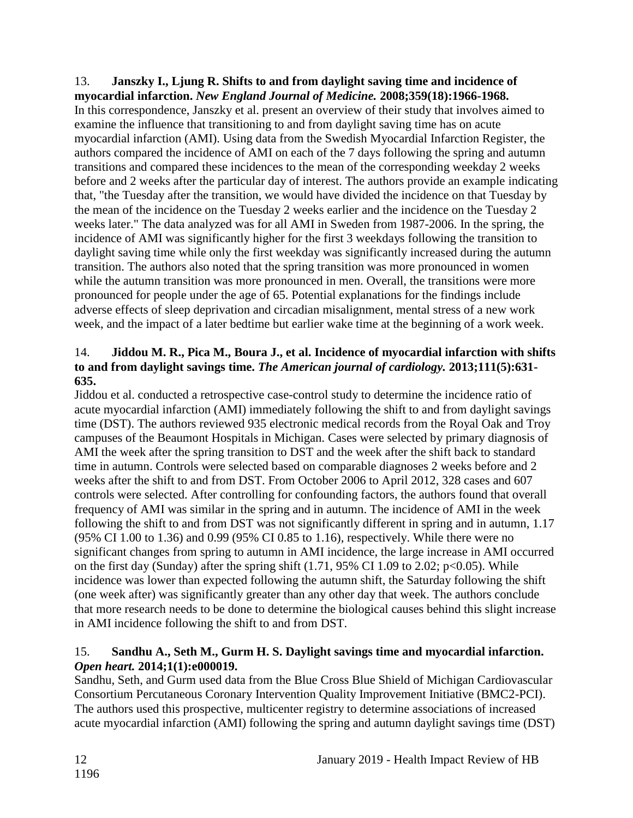#### 13. **Janszky I., Ljung R. Shifts to and from daylight saving time and incidence of myocardial infarction.** *New England Journal of Medicine.* **2008;359(18):1966-1968.**

In this correspondence, Janszky et al. present an overview of their study that involves aimed to examine the influence that transitioning to and from daylight saving time has on acute myocardial infarction (AMI). Using data from the Swedish Myocardial Infarction Register, the authors compared the incidence of AMI on each of the 7 days following the spring and autumn transitions and compared these incidences to the mean of the corresponding weekday 2 weeks before and 2 weeks after the particular day of interest. The authors provide an example indicating that, "the Tuesday after the transition, we would have divided the incidence on that Tuesday by the mean of the incidence on the Tuesday 2 weeks earlier and the incidence on the Tuesday 2 weeks later." The data analyzed was for all AMI in Sweden from 1987-2006. In the spring, the incidence of AMI was significantly higher for the first 3 weekdays following the transition to daylight saving time while only the first weekday was significantly increased during the autumn transition. The authors also noted that the spring transition was more pronounced in women while the autumn transition was more pronounced in men. Overall, the transitions were more pronounced for people under the age of 65. Potential explanations for the findings include adverse effects of sleep deprivation and circadian misalignment, mental stress of a new work week, and the impact of a later bedtime but earlier wake time at the beginning of a work week.

# <span id="page-14-1"></span>14. **Jiddou M. R., Pica M., Boura J., et al. Incidence of myocardial infarction with shifts to and from daylight savings time.** *The American journal of cardiology.* **2013;111(5):631- 635.**

Jiddou et al. conducted a retrospective case-control study to determine the incidence ratio of acute myocardial infarction (AMI) immediately following the shift to and from daylight savings time (DST). The authors reviewed 935 electronic medical records from the Royal Oak and Troy campuses of the Beaumont Hospitals in Michigan. Cases were selected by primary diagnosis of AMI the week after the spring transition to DST and the week after the shift back to standard time in autumn. Controls were selected based on comparable diagnoses 2 weeks before and 2 weeks after the shift to and from DST. From October 2006 to April 2012, 328 cases and 607 controls were selected. After controlling for confounding factors, the authors found that overall frequency of AMI was similar in the spring and in autumn. The incidence of AMI in the week following the shift to and from DST was not significantly different in spring and in autumn, 1.17 (95% CI 1.00 to 1.36) and 0.99 (95% CI 0.85 to 1.16), respectively. While there were no significant changes from spring to autumn in AMI incidence, the large increase in AMI occurred on the first day (Sunday) after the spring shift  $(1.71, 95\% \text{ CI } 1.09 \text{ to } 2.02; \text{ p} < 0.05)$ . While incidence was lower than expected following the autumn shift, the Saturday following the shift (one week after) was significantly greater than any other day that week. The authors conclude that more research needs to be done to determine the biological causes behind this slight increase in AMI incidence following the shift to and from DST.

# <span id="page-14-0"></span>15. **Sandhu A., Seth M., Gurm H. S. Daylight savings time and myocardial infarction.**  *Open heart.* **2014;1(1):e000019.**

Sandhu, Seth, and Gurm used data from the Blue Cross Blue Shield of Michigan Cardiovascular Consortium Percutaneous Coronary Intervention Quality Improvement Initiative (BMC2-PCI). The authors used this prospective, multicenter registry to determine associations of increased acute myocardial infarction (AMI) following the spring and autumn daylight savings time (DST)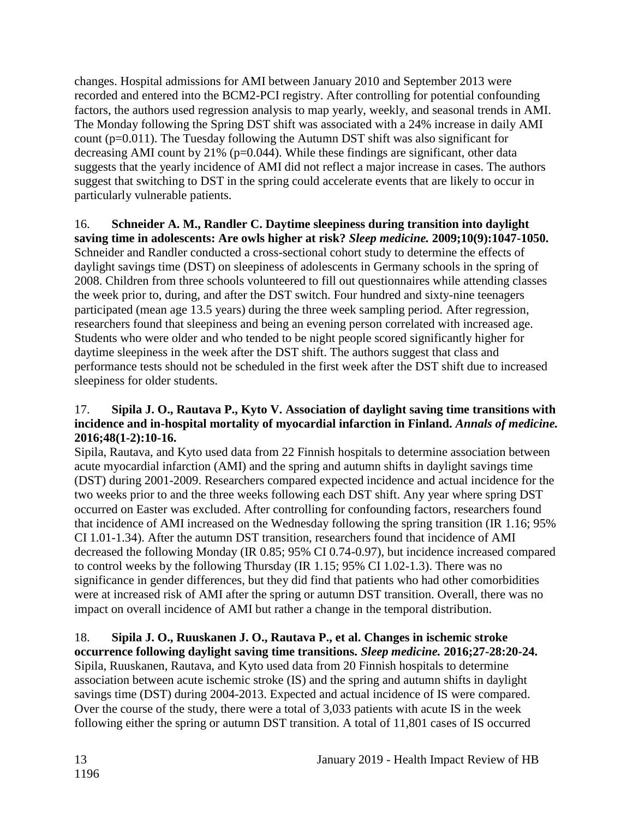changes. Hospital admissions for AMI between January 2010 and September 2013 were recorded and entered into the BCM2-PCI registry. After controlling for potential confounding factors, the authors used regression analysis to map yearly, weekly, and seasonal trends in AMI. The Monday following the Spring DST shift was associated with a 24% increase in daily AMI count (p=0.011). The Tuesday following the Autumn DST shift was also significant for decreasing AMI count by 21% (p=0.044). While these findings are significant, other data suggests that the yearly incidence of AMI did not reflect a major increase in cases. The authors suggest that switching to DST in the spring could accelerate events that are likely to occur in particularly vulnerable patients.

#### <span id="page-15-0"></span>16. **Schneider A. M., Randler C. Daytime sleepiness during transition into daylight saving time in adolescents: Are owls higher at risk?** *Sleep medicine.* **2009;10(9):1047-1050.** Schneider and Randler conducted a cross-sectional cohort study to determine the effects of daylight savings time (DST) on sleepiness of adolescents in Germany schools in the spring of 2008. Children from three schools volunteered to fill out questionnaires while attending classes the week prior to, during, and after the DST switch. Four hundred and sixty-nine teenagers participated (mean age 13.5 years) during the three week sampling period. After regression, researchers found that sleepiness and being an evening person correlated with increased age. Students who were older and who tended to be night people scored significantly higher for daytime sleepiness in the week after the DST shift. The authors suggest that class and performance tests should not be scheduled in the first week after the DST shift due to increased sleepiness for older students.

# <span id="page-15-1"></span>17. **Sipila J. O., Rautava P., Kyto V. Association of daylight saving time transitions with incidence and in-hospital mortality of myocardial infarction in Finland.** *Annals of medicine.*  **2016;48(1-2):10-16.**

Sipila, Rautava, and Kyto used data from 22 Finnish hospitals to determine association between acute myocardial infarction (AMI) and the spring and autumn shifts in daylight savings time (DST) during 2001-2009. Researchers compared expected incidence and actual incidence for the two weeks prior to and the three weeks following each DST shift. Any year where spring DST occurred on Easter was excluded. After controlling for confounding factors, researchers found that incidence of AMI increased on the Wednesday following the spring transition (IR 1.16; 95% CI 1.01-1.34). After the autumn DST transition, researchers found that incidence of AMI decreased the following Monday (IR 0.85; 95% CI 0.74-0.97), but incidence increased compared to control weeks by the following Thursday (IR 1.15; 95% CI 1.02-1.3). There was no significance in gender differences, but they did find that patients who had other comorbidities were at increased risk of AMI after the spring or autumn DST transition. Overall, there was no impact on overall incidence of AMI but rather a change in the temporal distribution.

#### 18. **Sipila J. O., Ruuskanen J. O., Rautava P., et al. Changes in ischemic stroke occurrence following daylight saving time transitions.** *Sleep medicine.* **2016;27-28:20-24.**

Sipila, Ruuskanen, Rautava, and Kyto used data from 20 Finnish hospitals to determine association between acute ischemic stroke (IS) and the spring and autumn shifts in daylight savings time (DST) during 2004-2013. Expected and actual incidence of IS were compared. Over the course of the study, there were a total of 3,033 patients with acute IS in the week following either the spring or autumn DST transition. A total of 11,801 cases of IS occurred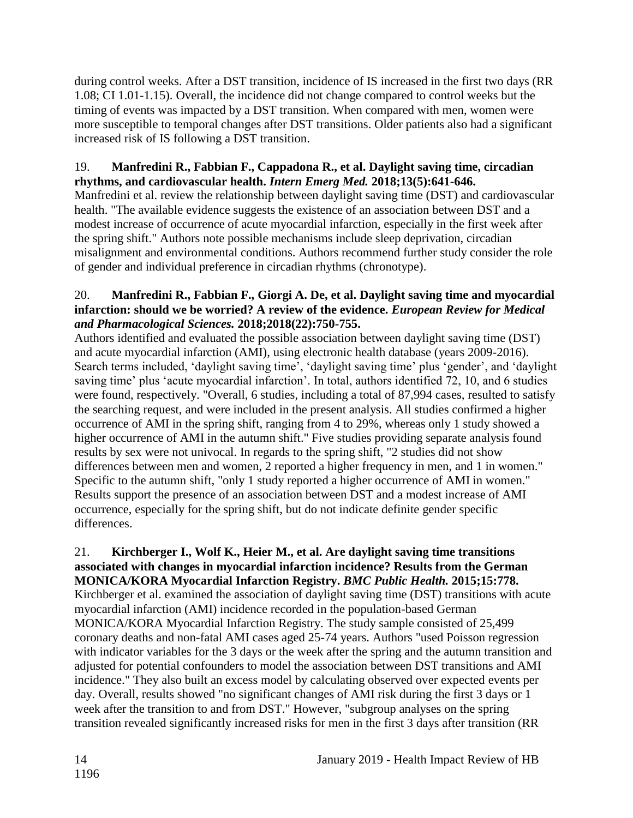during control weeks. After a DST transition, incidence of IS increased in the first two days (RR 1.08; CI 1.01-1.15). Overall, the incidence did not change compared to control weeks but the timing of events was impacted by a DST transition. When compared with men, women were more susceptible to temporal changes after DST transitions. Older patients also had a significant increased risk of IS following a DST transition.

# 19. **Manfredini R., Fabbian F., Cappadona R., et al. Daylight saving time, circadian rhythms, and cardiovascular health.** *Intern Emerg Med.* **2018;13(5):641-646.**

Manfredini et al. review the relationship between daylight saving time (DST) and cardiovascular health. "The available evidence suggests the existence of an association between DST and a modest increase of occurrence of acute myocardial infarction, especially in the first week after the spring shift." Authors note possible mechanisms include sleep deprivation, circadian misalignment and environmental conditions. Authors recommend further study consider the role of gender and individual preference in circadian rhythms (chronotype).

# 20. **Manfredini R., Fabbian F., Giorgi A. De, et al. Daylight saving time and myocardial infarction: should we be worried? A review of the evidence.** *European Review for Medical and Pharmacological Sciences.* **2018;2018(22):750-755.**

Authors identified and evaluated the possible association between daylight saving time (DST) and acute myocardial infarction (AMI), using electronic health database (years 2009-2016). Search terms included, 'daylight saving time', 'daylight saving time' plus 'gender', and 'daylight saving time' plus 'acute myocardial infarction'. In total, authors identified 72, 10, and 6 studies were found, respectively. "Overall, 6 studies, including a total of 87,994 cases, resulted to satisfy the searching request, and were included in the present analysis. All studies confirmed a higher occurrence of AMI in the spring shift, ranging from 4 to 29%, whereas only 1 study showed a higher occurrence of AMI in the autumn shift." Five studies providing separate analysis found results by sex were not univocal. In regards to the spring shift, "2 studies did not show differences between men and women, 2 reported a higher frequency in men, and 1 in women." Specific to the autumn shift, "only 1 study reported a higher occurrence of AMI in women." Results support the presence of an association between DST and a modest increase of AMI occurrence, especially for the spring shift, but do not indicate definite gender specific differences.

#### 21. **Kirchberger I., Wolf K., Heier M., et al. Are daylight saving time transitions associated with changes in myocardial infarction incidence? Results from the German MONICA/KORA Myocardial Infarction Registry.** *BMC Public Health.* **2015;15:778.**

Kirchberger et al. examined the association of daylight saving time (DST) transitions with acute myocardial infarction (AMI) incidence recorded in the population-based German MONICA/KORA Myocardial Infarction Registry. The study sample consisted of 25,499 coronary deaths and non-fatal AMI cases aged 25-74 years. Authors "used Poisson regression with indicator variables for the 3 days or the week after the spring and the autumn transition and adjusted for potential confounders to model the association between DST transitions and AMI incidence." They also built an excess model by calculating observed over expected events per day. Overall, results showed "no significant changes of AMI risk during the first 3 days or 1 week after the transition to and from DST." However, "subgroup analyses on the spring transition revealed significantly increased risks for men in the first 3 days after transition (RR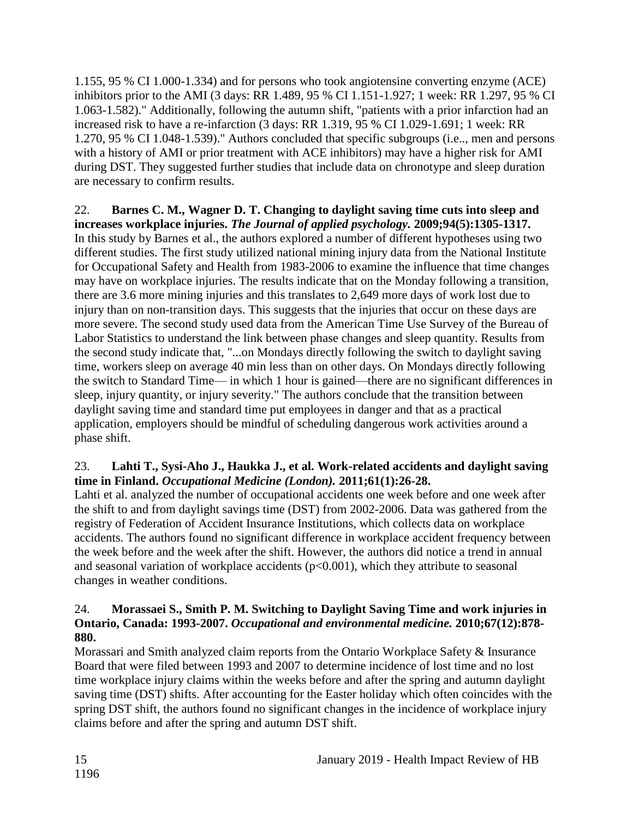1.155, 95 % CI 1.000-1.334) and for persons who took angiotensine converting enzyme (ACE) inhibitors prior to the AMI (3 days: RR 1.489, 95 % CI 1.151-1.927; 1 week: RR 1.297, 95 % CI 1.063-1.582)." Additionally, following the autumn shift, "patients with a prior infarction had an increased risk to have a re-infarction (3 days: RR 1.319, 95 % CI 1.029-1.691; 1 week: RR 1.270, 95 % CI 1.048-1.539)." Authors concluded that specific subgroups (i.e.., men and persons with a history of AMI or prior treatment with ACE inhibitors) may have a higher risk for AMI during DST. They suggested further studies that include data on chronotype and sleep duration are necessary to confirm results.

22. **Barnes C. M., Wagner D. T. Changing to daylight saving time cuts into sleep and increases workplace injuries.** *The Journal of applied psychology.* **2009;94(5):1305-1317.** In this study by Barnes et al., the authors explored a number of different hypotheses using two different studies. The first study utilized national mining injury data from the National Institute for Occupational Safety and Health from 1983-2006 to examine the influence that time changes may have on workplace injuries. The results indicate that on the Monday following a transition, there are 3.6 more mining injuries and this translates to 2,649 more days of work lost due to injury than on non-transition days. This suggests that the injuries that occur on these days are more severe. The second study used data from the American Time Use Survey of the Bureau of Labor Statistics to understand the link between phase changes and sleep quantity. Results from the second study indicate that, "...on Mondays directly following the switch to daylight saving time, workers sleep on average 40 min less than on other days. On Mondays directly following the switch to Standard Time— in which 1 hour is gained—there are no significant differences in sleep, injury quantity, or injury severity." The authors conclude that the transition between daylight saving time and standard time put employees in danger and that as a practical application, employers should be mindful of scheduling dangerous work activities around a phase shift.

# <span id="page-17-0"></span>23. **Lahti T., Sysi-Aho J., Haukka J., et al. Work-related accidents and daylight saving time in Finland.** *Occupational Medicine (London).* **2011;61(1):26-28.**

Lahti et al. analyzed the number of occupational accidents one week before and one week after the shift to and from daylight savings time (DST) from 2002-2006. Data was gathered from the registry of Federation of Accident Insurance Institutions, which collects data on workplace accidents. The authors found no significant difference in workplace accident frequency between the week before and the week after the shift. However, the authors did notice a trend in annual and seasonal variation of workplace accidents  $(p<0.001)$ , which they attribute to seasonal changes in weather conditions.

# <span id="page-17-1"></span>24. **Morassaei S., Smith P. M. Switching to Daylight Saving Time and work injuries in Ontario, Canada: 1993-2007.** *Occupational and environmental medicine.* **2010;67(12):878- 880.**

Morassari and Smith analyzed claim reports from the Ontario Workplace Safety & Insurance Board that were filed between 1993 and 2007 to determine incidence of lost time and no lost time workplace injury claims within the weeks before and after the spring and autumn daylight saving time (DST) shifts. After accounting for the Easter holiday which often coincides with the spring DST shift, the authors found no significant changes in the incidence of workplace injury claims before and after the spring and autumn DST shift.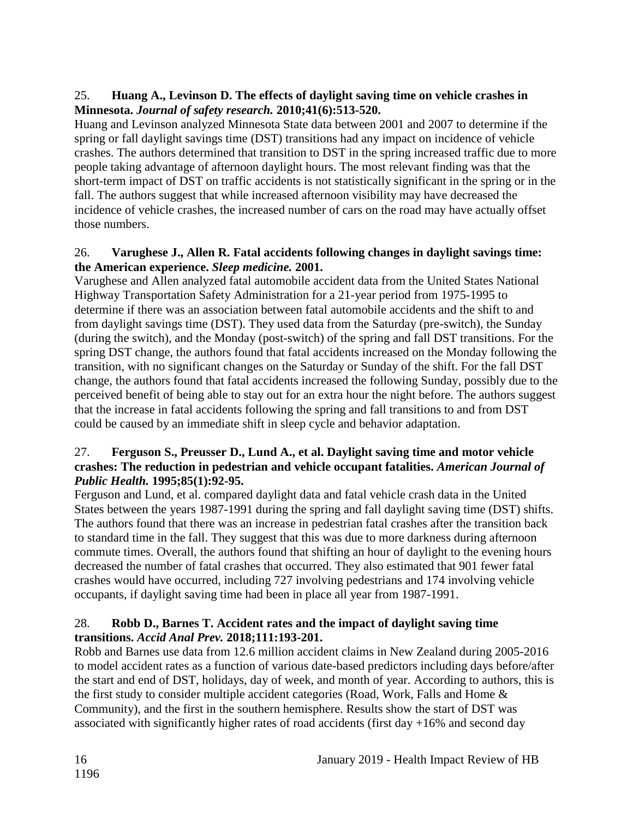# 25. **Huang A., Levinson D. The effects of daylight saving time on vehicle crashes in Minnesota.** *Journal of safety research.* **2010;41(6):513-520.**

Huang and Levinson analyzed Minnesota State data between 2001 and 2007 to determine if the spring or fall daylight savings time (DST) transitions had any impact on incidence of vehicle crashes. The authors determined that transition to DST in the spring increased traffic due to more people taking advantage of afternoon daylight hours. The most relevant finding was that the short-term impact of DST on traffic accidents is not statistically significant in the spring or in the fall. The authors suggest that while increased afternoon visibility may have decreased the incidence of vehicle crashes, the increased number of cars on the road may have actually offset those numbers.

# 26. **Varughese J., Allen R. Fatal accidents following changes in daylight savings time: the American experience.** *Sleep medicine.* **2001.**

Varughese and Allen analyzed fatal automobile accident data from the United States National Highway Transportation Safety Administration for a 21-year period from 1975-1995 to determine if there was an association between fatal automobile accidents and the shift to and from daylight savings time (DST). They used data from the Saturday (pre-switch), the Sunday (during the switch), and the Monday (post-switch) of the spring and fall DST transitions. For the spring DST change, the authors found that fatal accidents increased on the Monday following the transition, with no significant changes on the Saturday or Sunday of the shift. For the fall DST change, the authors found that fatal accidents increased the following Sunday, possibly due to the perceived benefit of being able to stay out for an extra hour the night before. The authors suggest that the increase in fatal accidents following the spring and fall transitions to and from DST could be caused by an immediate shift in sleep cycle and behavior adaptation.

#### 27. **Ferguson S., Preusser D., Lund A., et al. Daylight saving time and motor vehicle crashes: The reduction in pedestrian and vehicle occupant fatalities.** *American Journal of Public Health.* **1995;85(1):92-95.**

Ferguson and Lund, et al. compared daylight data and fatal vehicle crash data in the United States between the years 1987-1991 during the spring and fall daylight saving time (DST) shifts. The authors found that there was an increase in pedestrian fatal crashes after the transition back to standard time in the fall. They suggest that this was due to more darkness during afternoon commute times. Overall, the authors found that shifting an hour of daylight to the evening hours decreased the number of fatal crashes that occurred. They also estimated that 901 fewer fatal crashes would have occurred, including 727 involving pedestrians and 174 involving vehicle occupants, if daylight saving time had been in place all year from 1987-1991.

# <span id="page-18-0"></span>28. **Robb D., Barnes T. Accident rates and the impact of daylight saving time transitions.** *Accid Anal Prev.* **2018;111:193-201.**

Robb and Barnes use data from 12.6 million accident claims in New Zealand during 2005-2016 to model accident rates as a function of various date-based predictors including days before/after the start and end of DST, holidays, day of week, and month of year. According to authors, this is the first study to consider multiple accident categories (Road, Work, Falls and Home & Community), and the first in the southern hemisphere. Results show the start of DST was associated with significantly higher rates of road accidents (first day  $+16\%$  and second day